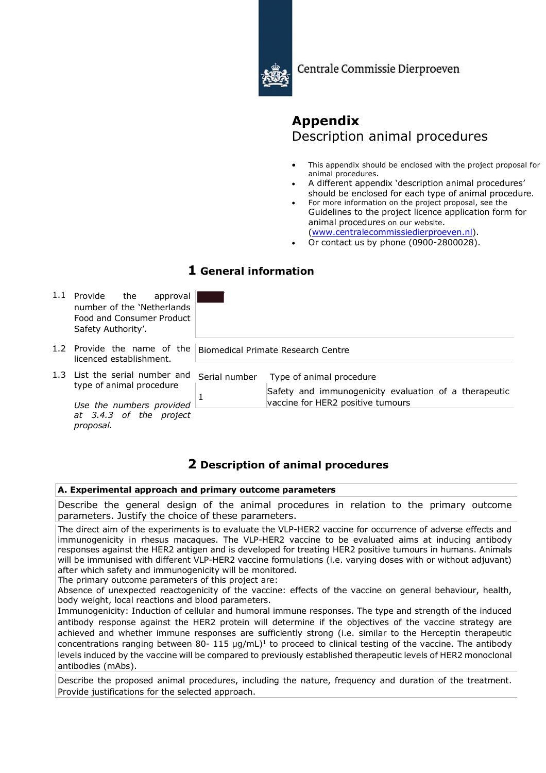

Centrale Commissie Dierproeven

# **Appendix** Description animal procedures

- This appendix should be enclosed with the project proposal for animal procedures.
- A different appendix 'description animal procedures' should be enclosed for each type of animal procedure.
- For more information on the project proposal, see the Guidelines to the project licence application form for animal procedures on our website. (www.centralecommissiedierproeven.nl).
- Or contact us by phone (0900-2800028).

### **1 General information**

|  | Provide<br>the<br>approval<br>number of the 'Netherlands'<br>Food and Consumer Product<br>Safety Authority'.                |                                    |                                                                                                                        |  |
|--|-----------------------------------------------------------------------------------------------------------------------------|------------------------------------|------------------------------------------------------------------------------------------------------------------------|--|
|  | Provide the name of the<br>licenced establishment.                                                                          | Biomedical Primate Research Centre |                                                                                                                        |  |
|  | 1.3 List the serial number and<br>type of animal procedure<br>Use the numbers provided<br><i>at 3.4.3 of the</i><br>project | Serial number                      | Type of animal procedure<br>Safety and immunogenicity evaluation of a therapeutic<br>vaccine for HER2 positive tumours |  |
|  |                                                                                                                             |                                    |                                                                                                                        |  |

## **2 Description of animal procedures**

#### **A. Experimental approach and primary outcome parameters**

Describe the general design of the animal procedures in relation to the primary outcome parameters. Justify the choice of these parameters.

The direct aim of the experiments is to evaluate the VLP-HER2 vaccine for occurrence of adverse effects and immunogenicity in rhesus macaques. The VLP-HER2 vaccine to be evaluated aims at inducing antibody responses against the HER2 antigen and is developed for treating HER2 positive tumours in humans. Animals will be immunised with different VLP-HER2 vaccine formulations (i.e. varying doses with or without adjuvant) after which safety and immunogenicity will be monitored.

The primary outcome parameters of this project are:

*proposal.*

Absence of unexpected reactogenicity of the vaccine: effects of the vaccine on general behaviour, health, body weight, local reactions and blood parameters.

Immunogenicity: Induction of cellular and humoral immune responses. The type and strength of the induced antibody response against the HER2 protein will determine if the objectives of the vaccine strategy are achieved and whether immune responses are sufficiently strong (i.e. similar to the Herceptin therapeutic concentrations ranging between 80- 115  $\mu$ g/mL)<sup>1</sup> to proceed to clinical testing of the vaccine. The antibody levels induced by the vaccine will be compared to previously established therapeutic levels of HER2 monoclonal antibodies (mAbs).

Describe the proposed animal procedures, including the nature, frequency and duration of the treatment. Provide justifications for the selected approach.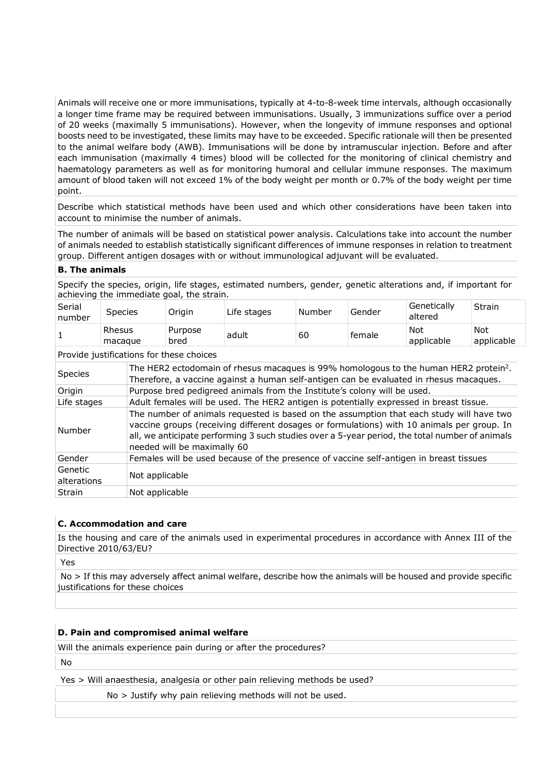Animals will receive one or more immunisations, typically at 4-to-8-week time intervals, although occasionally a longer time frame may be required between immunisations. Usually, 3 immunizations suffice over a period of 20 weeks (maximally 5 immunisations). However, when the longevity of immune responses and optional boosts need to be investigated, these limits may have to be exceeded. Specific rationale will then be presented to the animal welfare body (AWB). Immunisations will be done by intramuscular injection. Before and after each immunisation (maximally 4 times) blood will be collected for the monitoring of clinical chemistry and haematology parameters as well as for monitoring humoral and cellular immune responses. The maximum amount of blood taken will not exceed 1% of the body weight per month or 0.7% of the body weight per time point.

Describe which statistical methods have been used and which other considerations have been taken into account to minimise the number of animals.

The number of animals will be based on statistical power analysis. Calculations take into account the number of animals needed to establish statistically significant differences of immune responses in relation to treatment group. Different antigen dosages with or without immunological adjuvant will be evaluated.

#### **B. The animals**

Specify the species, origin, life stages, estimated numbers, gender, genetic alterations and, if important for achieving the immediate goal, the strain.

| Not<br>Rhesus<br>Not<br>Purpose<br>60<br>adult<br>female<br>applicable<br>bred<br>macague | Serial<br>number | <b>Species</b> | Origin | Life stages | Mumber ، | Gender | Genetically<br>altered | Strain     |
|-------------------------------------------------------------------------------------------|------------------|----------------|--------|-------------|----------|--------|------------------------|------------|
|                                                                                           |                  |                |        |             |          |        |                        | applicable |

Provide justifications for these choices

| Species                | The HER2 ectodomain of rhesus macaques is 99% homologous to the human HER2 protein <sup>2</sup> .<br>Therefore, a vaccine against a human self-antigen can be evaluated in rhesus macagues.                                                                                                                             |
|------------------------|-------------------------------------------------------------------------------------------------------------------------------------------------------------------------------------------------------------------------------------------------------------------------------------------------------------------------|
| Origin                 | Purpose bred pedigreed animals from the Institute's colony will be used.                                                                                                                                                                                                                                                |
| Life stages            | Adult females will be used. The HER2 antigen is potentially expressed in breast tissue.                                                                                                                                                                                                                                 |
| Number                 | The number of animals requested is based on the assumption that each study will have two<br>vaccine groups (receiving different dosages or formulations) with 10 animals per group. In<br>all, we anticipate performing 3 such studies over a 5-year period, the total number of animals<br>needed will be maximally 60 |
| Gender                 | Females will be used because of the presence of vaccine self-antigen in breast tissues                                                                                                                                                                                                                                  |
| Genetic<br>alterations | Not applicable                                                                                                                                                                                                                                                                                                          |
| Strain                 | Not applicable                                                                                                                                                                                                                                                                                                          |
|                        |                                                                                                                                                                                                                                                                                                                         |

#### **C. Accommodation and care**

Is the housing and care of the animals used in experimental procedures in accordance with Annex III of the Directive 2010/63/EU?

Yes

No > If this may adversely affect animal welfare, describe how the animals will be housed and provide specific justifications for these choices

#### **D. Pain and compromised animal welfare**

Will the animals experience pain during or after the procedures?

No

Yes > Will anaesthesia, analgesia or other pain relieving methods be used?

No > Justify why pain relieving methods will not be used.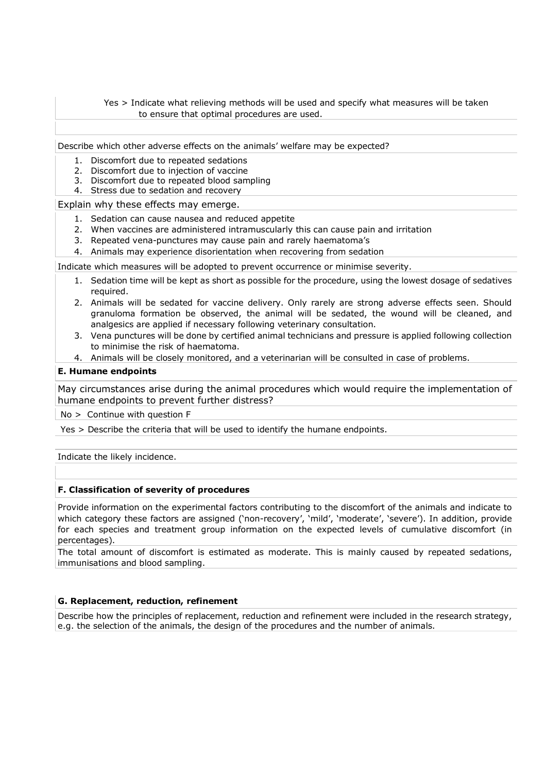#### Yes > Indicate what relieving methods will be used and specify what measures will be taken to ensure that optimal procedures are used.

Describe which other adverse effects on the animals' welfare may be expected?

- 1. Discomfort due to repeated sedations
- 2. Discomfort due to injection of vaccine
- 3. Discomfort due to repeated blood sampling
- 4. Stress due to sedation and recovery

Explain why these effects may emerge.

- 1. Sedation can cause nausea and reduced appetite
- 2. When vaccines are administered intramuscularly this can cause pain and irritation
- 3. Repeated vena-punctures may cause pain and rarely haematoma's
- 4. Animals may experience disorientation when recovering from sedation

Indicate which measures will be adopted to prevent occurrence or minimise severity.

- 1. Sedation time will be kept as short as possible for the procedure, using the lowest dosage of sedatives required.
- 2. Animals will be sedated for vaccine delivery. Only rarely are strong adverse effects seen. Should granuloma formation be observed, the animal will be sedated, the wound will be cleaned, and analgesics are applied if necessary following veterinary consultation.
- 3. Vena punctures will be done by certified animal technicians and pressure is applied following collection to minimise the risk of haematoma.
- 4. Animals will be closely monitored, and a veterinarian will be consulted in case of problems.

#### **E. Humane endpoints**

May circumstances arise during the animal procedures which would require the implementation of humane endpoints to prevent further distress?

No > Continue with question F

Yes > Describe the criteria that will be used to identify the humane endpoints.

Indicate the likely incidence.

#### **F. Classification of severity of procedures**

Provide information on the experimental factors contributing to the discomfort of the animals and indicate to which category these factors are assigned ('non-recovery', 'mild', 'moderate', 'severe'). In addition, provide for each species and treatment group information on the expected levels of cumulative discomfort (in percentages).

The total amount of discomfort is estimated as moderate. This is mainly caused by repeated sedations, immunisations and blood sampling.

#### **G. Replacement, reduction, refinement**

Describe how the principles of replacement, reduction and refinement were included in the research strategy, e.g. the selection of the animals, the design of the procedures and the number of animals.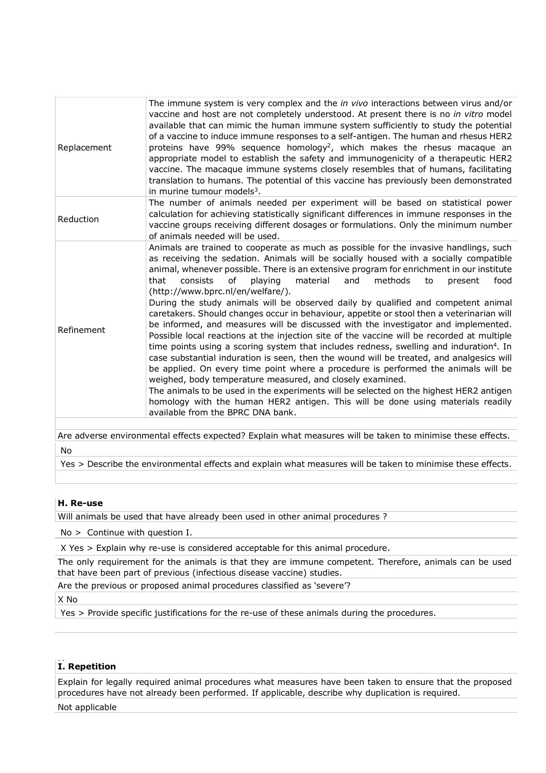| Replacement                                                                                                | The immune system is very complex and the in vivo interactions between virus and/or<br>vaccine and host are not completely understood. At present there is no in vitro model<br>available that can mimic the human immune system sufficiently to study the potential<br>of a vaccine to induce immune responses to a self-antigen. The human and rhesus HER2<br>proteins have 99% sequence homology <sup>2</sup> , which makes the rhesus macaque an<br>appropriate model to establish the safety and immunogenicity of a therapeutic HER2<br>vaccine. The macaque immune systems closely resembles that of humans, facilitating<br>translation to humans. The potential of this vaccine has previously been demonstrated<br>in murine tumour models <sup>3</sup> .                                                                                                                                                                                                                                                                                                                                                                                                                                                                                                                                                                                                  |  |  |  |
|------------------------------------------------------------------------------------------------------------|----------------------------------------------------------------------------------------------------------------------------------------------------------------------------------------------------------------------------------------------------------------------------------------------------------------------------------------------------------------------------------------------------------------------------------------------------------------------------------------------------------------------------------------------------------------------------------------------------------------------------------------------------------------------------------------------------------------------------------------------------------------------------------------------------------------------------------------------------------------------------------------------------------------------------------------------------------------------------------------------------------------------------------------------------------------------------------------------------------------------------------------------------------------------------------------------------------------------------------------------------------------------------------------------------------------------------------------------------------------------|--|--|--|
| Reduction                                                                                                  | The number of animals needed per experiment will be based on statistical power<br>calculation for achieving statistically significant differences in immune responses in the<br>vaccine groups receiving different dosages or formulations. Only the minimum number<br>of animals needed will be used.                                                                                                                                                                                                                                                                                                                                                                                                                                                                                                                                                                                                                                                                                                                                                                                                                                                                                                                                                                                                                                                               |  |  |  |
| Refinement                                                                                                 | Animals are trained to cooperate as much as possible for the invasive handlings, such<br>as receiving the sedation. Animals will be socially housed with a socially compatible<br>animal, whenever possible. There is an extensive program for enrichment in our institute<br><sub>of</sub><br>material<br>and<br>methods<br>consists<br>playing<br>food<br>that<br>to<br>present<br>(http://www.bprc.nl/en/welfare/).<br>During the study animals will be observed daily by qualified and competent animal<br>caretakers. Should changes occur in behaviour, appetite or stool then a veterinarian will<br>be informed, and measures will be discussed with the investigator and implemented.<br>Possible local reactions at the injection site of the vaccine will be recorded at multiple<br>time points using a scoring system that includes redness, swelling and induration <sup>4</sup> . In<br>case substantial induration is seen, then the wound will be treated, and analgesics will<br>be applied. On every time point where a procedure is performed the animals will be<br>weighed, body temperature measured, and closely examined.<br>The animals to be used in the experiments will be selected on the highest HER2 antigen<br>homology with the human HER2 antigen. This will be done using materials readily<br>available from the BPRC DNA bank. |  |  |  |
| Are adverse environmental effects expected? Explain what measures will be taken to minimise these effects. |                                                                                                                                                                                                                                                                                                                                                                                                                                                                                                                                                                                                                                                                                                                                                                                                                                                                                                                                                                                                                                                                                                                                                                                                                                                                                                                                                                      |  |  |  |
|                                                                                                            |                                                                                                                                                                                                                                                                                                                                                                                                                                                                                                                                                                                                                                                                                                                                                                                                                                                                                                                                                                                                                                                                                                                                                                                                                                                                                                                                                                      |  |  |  |

No

Yes > Describe the environmental effects and explain what measures will be taken to minimise these effects.

#### **H. Re-use**

Will animals be used that have already been used in other animal procedures ?

No > Continue with question I.

X Yes > Explain why re-use is considered acceptable for this animal procedure.

The only requirement for the animals is that they are immune competent. Therefore, animals can be used that have been part of previous (infectious disease vaccine) studies.

Are the previous or proposed animal procedures classified as 'severe'?

X No

Yes > Provide specific justifications for the re-use of these animals during the procedures.

#### **HI. Repetition**

Explain for legally required animal procedures what measures have been taken to ensure that the proposed procedures have not already been performed. If applicable, describe why duplication is required.

Not applicable